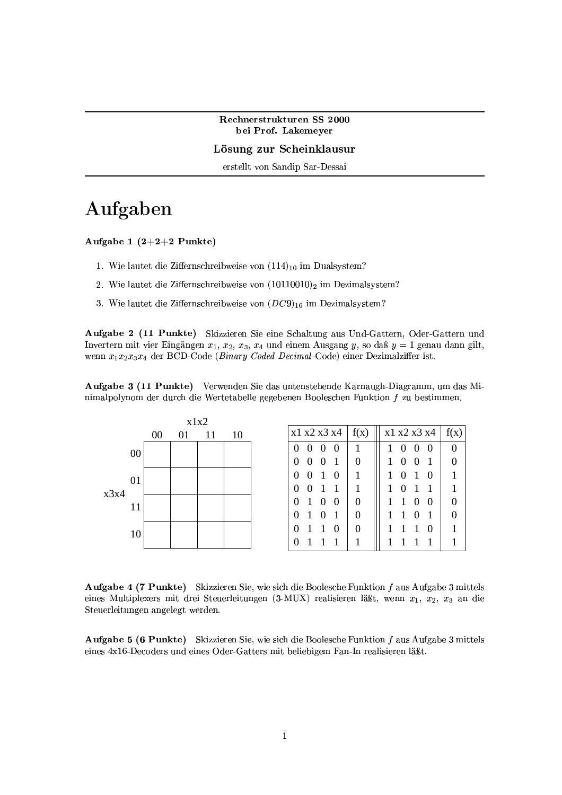Rechnerstrukturen SS 2000 bei Prof. Lakemeyer

Lösung zur Scheinklausur

erstellt von Sandip Sar-Dessai

## Aufgaben

Aufgabe 1  $(2+2+2$  Punkte)

- 1. Wie lautet die Ziffernschreibweise von  $(114)_{10}$  im Dualsystem?
- 2. Wie lautet die Ziffernschreibweise von  $(10110010)_2$  im Dezimalsystem?
- 3. Wie lautet die Ziffernschreibweise von  $(DC9)_{16}$  im Dezimalsystem?

Aufgabe 2 (11 Punkte) Skizzieren Sie eine Schaltung aus Und-Gattern, Oder-Gattern und Invertern mit vier Eingängen  $x_1, x_2, x_3, x_4$  und einem Ausgang y, so daß  $y = 1$  genau dann gilt, wenn  $x_1x_2x_3x_4$  der BCD-Code (Binary Coded Decimal-Code) einer Dezimalziffer ist.

Aufgabe 3 (11 Punkte) Verwenden Sie das untenstehende Karnaugh-Diagramm, um das Minimalpolynom der durch die Wertetabelle gegebenen Booleschen Funktion  $f$  zu bestimmen.



Aufgabe 4 (7 Punkte) Skizzieren Sie, wie sich die Boolesche Funktion f aus Aufgabe 3 mittels eines Multiplexers mit drei Steuerleitungen (3-MUX) realisieren läßt, wenn  $x_1, x_2, x_3$  an die Steuerleitungen angelegt werden.

**Aufgabe 5 (6 Punkte)** Skizzieren Sie, wie sich die Boolesche Funktion f aus Aufgabe 3 mittels eines 4x16-Decoders und eines Oder-Gatters mit beliebigem Fan-In realisieren läßt.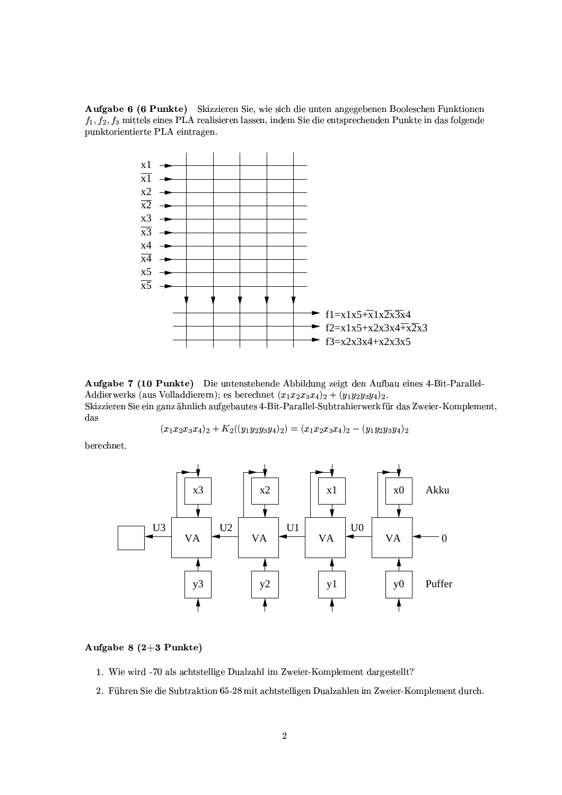Aufgabe 6 (6 Punkte) Skizzieren Sie, wie sich die unten angegebenen Booleschen Funktionen  $f_1, f_2, f_3$  mittels eines PLA realisieren lassen, indem Sie die entsprechenden Punkte in das folgende punktorientierte PLA eintragen.



Aufgabe 7 (10 Punkte) Die untenstehende Abbildung zeigt den Aufbau eines 4-Bit-Parallel-Addierwerks (aus Volladdierern); es berechnet  $(x_1x_2x_3x_4)_2 + (y_1y_2y_3y_4)_2$ . Skizzieren Sie ein ganz ähnlich aufgebautes 4-Bit-Parallel-Subtrahierwerk für das Zweier-Komplement,  $das$ 

$$
(x_1x_2x_3x_4)_2+K_2((y_1y_2y_3y_4)_2)=(x_1x_2x_3x_4)_2-(y_1y_2y_3y_4)_2
$$

berechnet.



### Aufgabe  $8(2+3$  Punkte)

- 1. Wie wird -70 als achtstellige Dualzahl im Zweier-Komplement dargestellt?
- 2. Führen Sie die Subtraktion 65-28 mit achtstelligen Dualzahlen im Zweier-Komplement durch.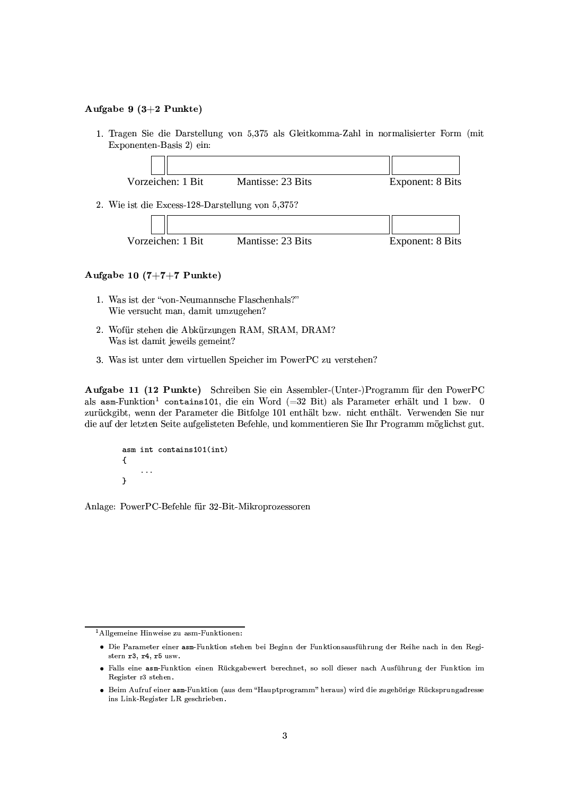#### Aufgabe 9  $(3+2$  Punkte)

1. Tragen Sie die Darstellung von 5,375 als Gleitkomma-Zahl in normalisierter Form (mit Exponenten-Basis 2) ein:



Vorzeichen: 1 Bit Mantisse: 23 Bits **Exponent: 8 Bits** 

#### Aufgabe 10  $(7+7+7$  Punkte)

- 1. Was ist der "von-Neumannsche Flaschenhals?" Wie versucht man, damit umzugehen?
- 2. Wofür stehen die Abkürzungen RAM, SRAM, DRAM? Was ist damit jeweils gemeint?
- 3. Was ist unter dem virtuellen Speicher im PowerPC zu verstehen?

Aufgabe 11 (12 Punkte) Schreiben Sie ein Assembler-(Unter-)Programm für den PowerPC als asm-Funktion<sup>1</sup> contains101, die ein Word (=32 Bit) als Parameter erhält und 1 bzw. 0 zurückgibt, wenn der Parameter die Bitfolge 101 enthält bzw. nicht enthält. Verwenden Sie nur die auf der letzten Seite aufgelisteten Befehle, und kommentieren Sie Ihr Programm möglichst gut.

```
asm int contains101(int)
\mathbf{f}\ddotsc\mathbf{r}
```
Anlage: PowerPC-Befehle für 32-Bit-Mikroprozessoren

<sup>&</sup>lt;sup>1</sup> Allgemeine Hinweise zu asm-Funktionen:

<sup>·</sup> Die Parameter einer asm-Funktion stehen bei Beginn der Funktionsausführung der Reihe nach in den Registern r3, r4, r5 usw.

<sup>•</sup> Falls eine asm-Funktion einen Rückgabewert berechnet, so soll dieser nach Ausführung der Funktion im Register r3 stehen.

<sup>•</sup> Beim Aufruf einer asm-Funktion (aus dem "Hauptprogramm" heraus) wird die zugehörige Rücksprungadresse ins Link-Register LR geschrieben.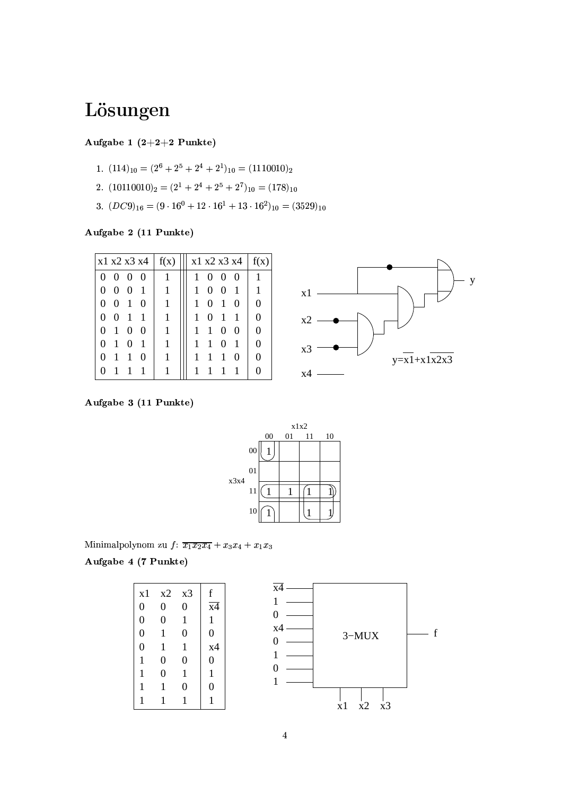# Lösungen

## Aufgabe 1  $(2+2+2$  Punkte)

- 1.  $(114)_{10} = (2^6 + 2^5 + 2^4 + 2^1)_{10} = (1110010)_2$
- 2.  $(10110010)_2 = (2^1 + 2^4 + 2^5 + 2^7)_{10} = (178)_{10}$
- 3.  $(DC9)_{16} = (9 \cdot 16^0 + 12 \cdot 16^1 + 13 \cdot 16^2)_{10} = (3529)_{10}$

Aufgabe 2 (11 Punkte)

| $\vert$ x1 x2 x3 x4 $\vert$ f(x)   | x1 x2 x3 x4                              | f(x)     |
|------------------------------------|------------------------------------------|----------|
| $\Omega$<br>$\theta$<br>$0\quad 0$ | 0<br>$\Omega$<br>$\Omega$                |          |
| 0<br>$\mathbf{1}$<br>0<br>$\theta$ | 1<br>$\theta$<br>$\Omega$<br>1           | 1        |
| 0<br>0<br>$\mathbf{1}$<br>0        | 0<br>1<br>$\mathbf{1}$<br>$\Omega$       | $\Omega$ |
| 0<br>0<br>1<br>1                   | $\overline{0}$<br>1<br>$\mathbf{1}$<br>1 | $\Omega$ |
| 0<br>$\Omega$<br>0<br>-1           | $\mathbf{1}$<br>0<br>0                   | $\Omega$ |
| 0<br>$\mathbf{1}$<br>0<br>1        | 1<br>$\mathbf{1}$<br>0<br>1              | $\Omega$ |
| 0<br>1<br>0<br>-1                  | 1<br>1<br>1<br>$\theta$                  | $\Omega$ |
| $\mathbf{\Omega}$                  |                                          |          |
|                                    |                                          |          |



Aufgabe 3 (11 Punkte)



Minimalpolynom zu f:  $\overline{x_1x_2x_4} + x_3x_4 + x_1x_3$ 

Aufgabe 4 (7 Punkte)

|                |                  |          |                 | $x\overline{4}$ |
|----------------|------------------|----------|-----------------|-----------------|
| x1             | x2               | x3       | f               |                 |
| $\overline{0}$ | $\overline{0}$   | 0        | $\overline{x4}$ |                 |
|                |                  |          |                 | 0               |
| 0              | $\overline{0}$   |          | 1               |                 |
| 0              |                  | 0        | 0               | x4              |
|                |                  |          |                 | 0               |
| 0              |                  |          | x4              |                 |
| 1              | $\boldsymbol{0}$ | $\theta$ | 0               |                 |
|                | $\overline{0}$   |          |                 | 0               |
|                |                  |          |                 |                 |
|                |                  |          | 0               |                 |
|                |                  |          |                 |                 |
|                |                  |          |                 |                 |

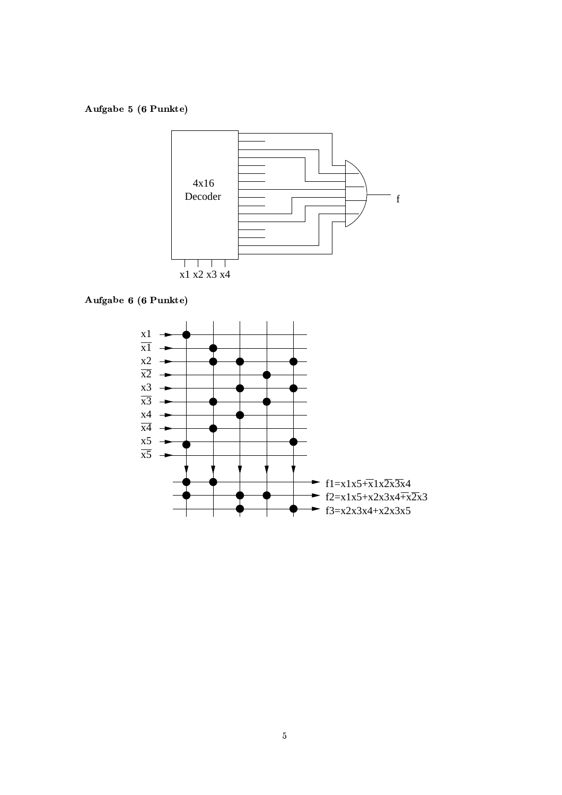Aufgabe 5 (6 Punkte)



Aufgabe 6 (6 Punkte)

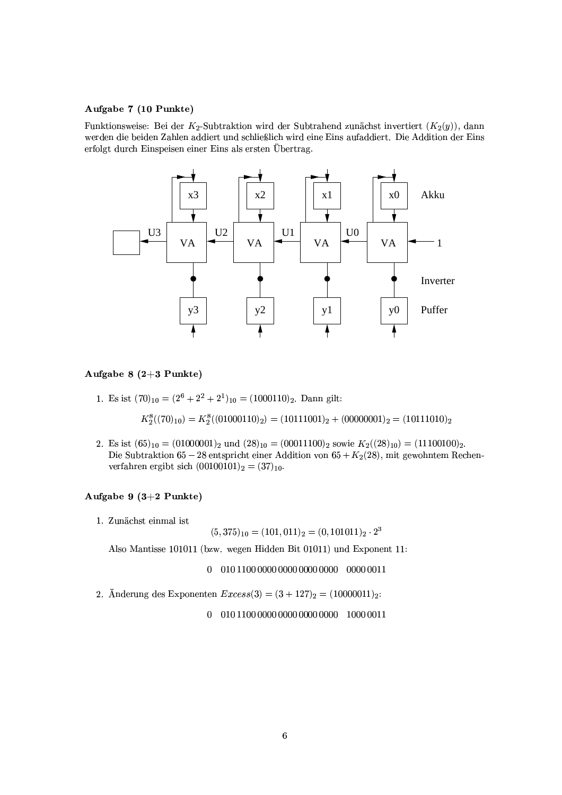#### Aufgabe 7 (10 Punkte)

Funktionsweise: Bei der K<sub>2</sub>-Subtraktion wird der Subtrahend zunächst invertiert  $(K_2(y))$ , dann werden die beiden Zahlen addiert und schließlich wird eine Eins aufaddiert. Die Addition der Eins erfolgt durch Einspeisen einer Eins als ersten Übertrag.



#### Aufgabe 8  $(2+3$  Punkte)

1. Es ist  $(70)_{10} = (2^6 + 2^2 + 2^1)_{10} = (1000110)_2$ . Dann gilt:

 $K_2^8((70)_{10}) = K_2^8((01000110)_2) = (10111001)_2 + (00000001)_2 = (10111010)_2$ 

2. Es ist  $(65)_{10} = (01000001)_2$  und  $(28)_{10} = (00011100)_2$  sowie  $K_2((28)_{10}) = (11100100)_2$ . Die Subtraktion 65 – 28 entspricht einer Addition von 65 +  $K_2(28)$ , mit gewohntem Rechenverfahren ergibt sich  $(00100101)_2 = (37)_{10}$ .

#### Aufgabe 9  $(3+2$  Punkte)

1. Zunächst einmal ist

$$
(5,375)_{10}=(101,011)_2=(0,101011)_2\cdot 2^3
$$

Also Mantisse 101011 (bzw. wegen Hidden Bit 01011) und Exponent 11:

2. Änderung des Exponenten  $Excess(3) = (3 + 127)_2 = (10000011)_2$ :

 $0 01011000000000000000000010000011$